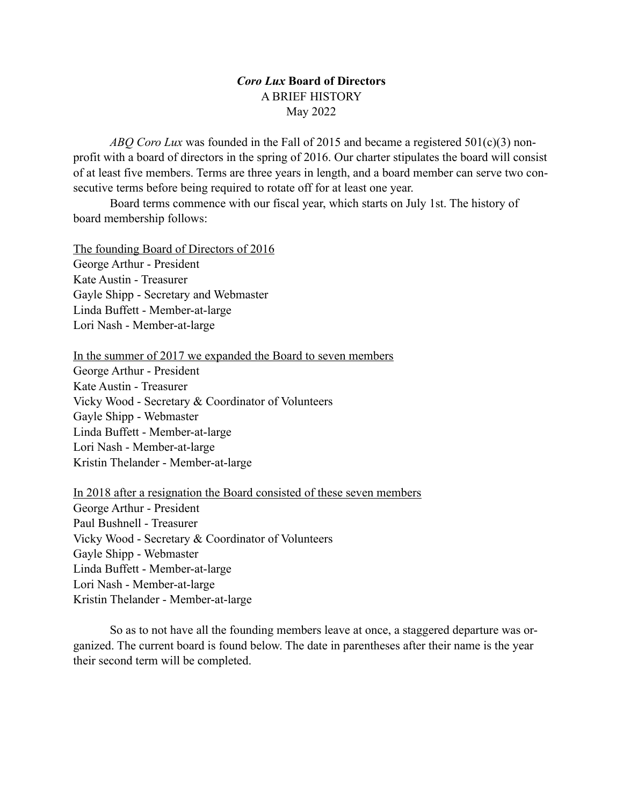## *Coro Lux* **Board of Directors** A BRIEF HISTORY May 2022

*ABQ Coro Lux* was founded in the Fall of 2015 and became a registered 501(c)(3) nonprofit with a board of directors in the spring of 2016. Our charter stipulates the board will consist of at least five members. Terms are three years in length, and a board member can serve two consecutive terms before being required to rotate off for at least one year.

Board terms commence with our fiscal year, which starts on July 1st. The history of board membership follows:

The founding Board of Directors of 2016 George Arthur - President Kate Austin - Treasurer Gayle Shipp - Secretary and Webmaster Linda Buffett - Member-at-large Lori Nash - Member-at-large

In the summer of 2017 we expanded the Board to seven members

George Arthur - President Kate Austin - Treasurer Vicky Wood - Secretary & Coordinator of Volunteers Gayle Shipp - Webmaster Linda Buffett - Member-at-large Lori Nash - Member-at-large Kristin Thelander - Member-at-large

In 2018 after a resignation the Board consisted of these seven members George Arthur - President Paul Bushnell - Treasurer Vicky Wood - Secretary & Coordinator of Volunteers Gayle Shipp - Webmaster Linda Buffett - Member-at-large Lori Nash - Member-at-large Kristin Thelander - Member-at-large

So as to not have all the founding members leave at once, a staggered departure was organized. The current board is found below. The date in parentheses after their name is the year their second term will be completed.